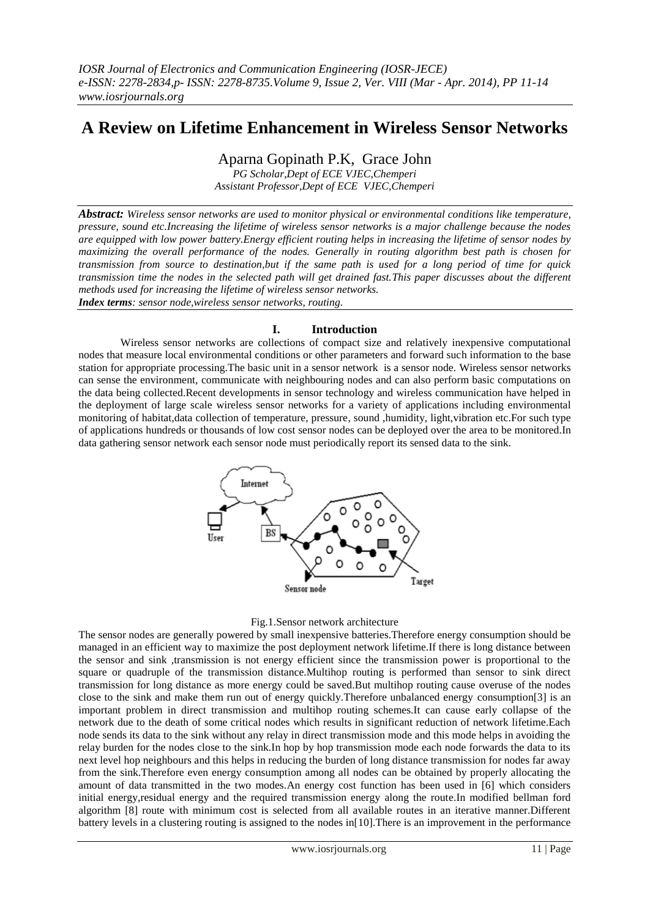# **A Review on Lifetime Enhancement in Wireless Sensor Networks**

Aparna Gopinath P.K, Grace John

*PG Scholar,Dept of ECE VJEC,Chemperi Assistant Professor,Dept of ECE VJEC,Chemperi*

*Abstract: Wireless sensor networks are used to monitor physical or environmental conditions like temperature, pressure, sound etc.Increasing the lifetime of wireless sensor networks is a major challenge because the nodes are equipped with low power battery.Energy efficient routing helps in increasing the lifetime of sensor nodes by maximizing the overall performance of the nodes. Generally in routing algorithm best path is chosen for transmission from source to destination,but if the same path is used for a long period of time for quick transmission time the nodes in the selected path will get drained fast.This paper discusses about the different methods used for increasing the lifetime of wireless sensor networks. Index terms: sensor node,wireless sensor networks, routing.*

# **I. Introduction**

Wireless sensor networks are collections of compact size and relatively inexpensive computational nodes that measure local environmental conditions or other parameters and forward such information to the base station for appropriate processing.The basic unit in a sensor network is a sensor node. Wireless sensor networks can sense the environment, communicate with neighbouring nodes and can also perform basic computations on the data being collected.Recent developments in sensor technology and wireless communication have helped in the deployment of large scale wireless sensor networks for a variety of applications including environmental monitoring of habitat,data collection of temperature, pressure, sound ,humidity, light,vibration etc.For such type of applications hundreds or thousands of low cost sensor nodes can be deployed over the area to be monitored.In data gathering sensor network each sensor node must periodically report its sensed data to the sink.



#### Fig.1.Sensor network architecture

The sensor nodes are generally powered by small inexpensive batteries.Therefore energy consumption should be managed in an efficient way to maximize the post deployment network lifetime.If there is long distance between the sensor and sink ,transmission is not energy efficient since the transmission power is proportional to the square or quadruple of the transmission distance.Multihop routing is performed than sensor to sink direct transmission for long distance as more energy could be saved.But multihop routing cause overuse of the nodes close to the sink and make them run out of energy quickly.Therefore unbalanced energy consumption[3] is an important problem in direct transmission and multihop routing schemes.It can cause early collapse of the network due to the death of some critical nodes which results in significant reduction of network lifetime.Each node sends its data to the sink without any relay in direct transmission mode and this mode helps in avoiding the relay burden for the nodes close to the sink.In hop by hop transmission mode each node forwards the data to its next level hop neighbours and this helps in reducing the burden of long distance transmission for nodes far away from the sink.Therefore even energy consumption among all nodes can be obtained by properly allocating the amount of data transmitted in the two modes.An energy cost function has been used in [6] which considers initial energy,residual energy and the required transmission energy along the route.In modified bellman ford algorithm [8] route with minimum cost is selected from all available routes in an iterative manner.Different battery levels in a clustering routing is assigned to the nodes in[10].There is an improvement in the performance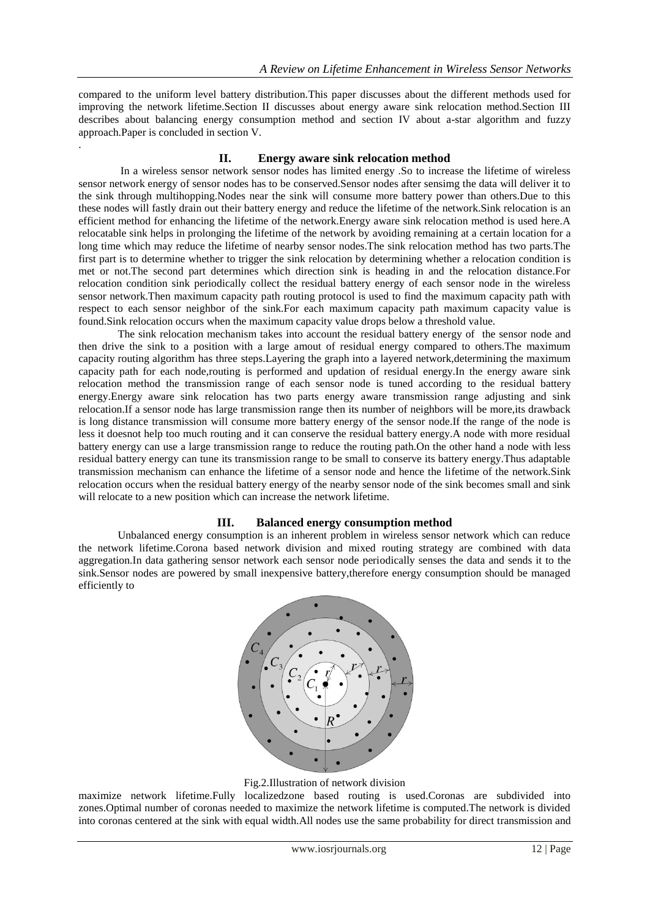compared to the uniform level battery distribution.This paper discusses about the different methods used for improving the network lifetime.Section II discusses about energy aware sink relocation method.Section III describes about balancing energy consumption method and section IV about a-star algorithm and fuzzy approach.Paper is concluded in section V.

.

# **II. Energy aware sink relocation method**

In a wireless sensor network sensor nodes has limited energy .So to increase the lifetime of wireless sensor network energy of sensor nodes has to be conserved.Sensor nodes after sensimg the data will deliver it to the sink through multihopping.Nodes near the sink will consume more battery power than others.Due to this these nodes will fastly drain out their battery energy and reduce the lifetime of the network.Sink relocation is an efficient method for enhancing the lifetime of the network.Energy aware sink relocation method is used here.A relocatable sink helps in prolonging the lifetime of the network by avoiding remaining at a certain location for a long time which may reduce the lifetime of nearby sensor nodes.The sink relocation method has two parts.The first part is to determine whether to trigger the sink relocation by determining whether a relocation condition is met or not.The second part determines which direction sink is heading in and the relocation distance.For relocation condition sink periodically collect the residual battery energy of each sensor node in the wireless sensor network.Then maximum capacity path routing protocol is used to find the maximum capacity path with respect to each sensor neighbor of the sink.For each maximum capacity path maximum capacity value is found.Sink relocation occurs when the maximum capacity value drops below a threshold value.

The sink relocation mechanism takes into account the residual battery energy of the sensor node and then drive the sink to a position with a large amout of residual energy compared to others.The maximum capacity routing algorithm has three steps.Layering the graph into a layered network,determining the maximum capacity path for each node,routing is performed and updation of residual energy.In the energy aware sink relocation method the transmission range of each sensor node is tuned according to the residual battery energy.Energy aware sink relocation has two parts energy aware transmission range adjusting and sink relocation.If a sensor node has large transmission range then its number of neighbors will be more,its drawback is long distance transmission will consume more battery energy of the sensor node.If the range of the node is less it doesnot help too much routing and it can conserve the residual battery energy.A node with more residual battery energy can use a large transmission range to reduce the routing path.On the other hand a node with less residual battery energy can tune its transmission range to be small to conserve its battery energy.Thus adaptable transmission mechanism can enhance the lifetime of a sensor node and hence the lifetime of the network.Sink relocation occurs when the residual battery energy of the nearby sensor node of the sink becomes small and sink will relocate to a new position which can increase the network lifetime.

# **III. Balanced energy consumption method**

Unbalanced energy consumption is an inherent problem in wireless sensor network which can reduce the network lifetime.Corona based network division and mixed routing strategy are combined with data aggregation.In data gathering sensor network each sensor node periodically senses the data and sends it to the sink.Sensor nodes are powered by small inexpensive battery,therefore energy consumption should be managed efficiently to



Fig.2.Illustration of network division

maximize network lifetime.Fully localizedzone based routing is used.Coronas are subdivided into zones.Optimal number of coronas needed to maximize the network lifetime is computed.The network is divided into coronas centered at the sink with equal width.All nodes use the same probability for direct transmission and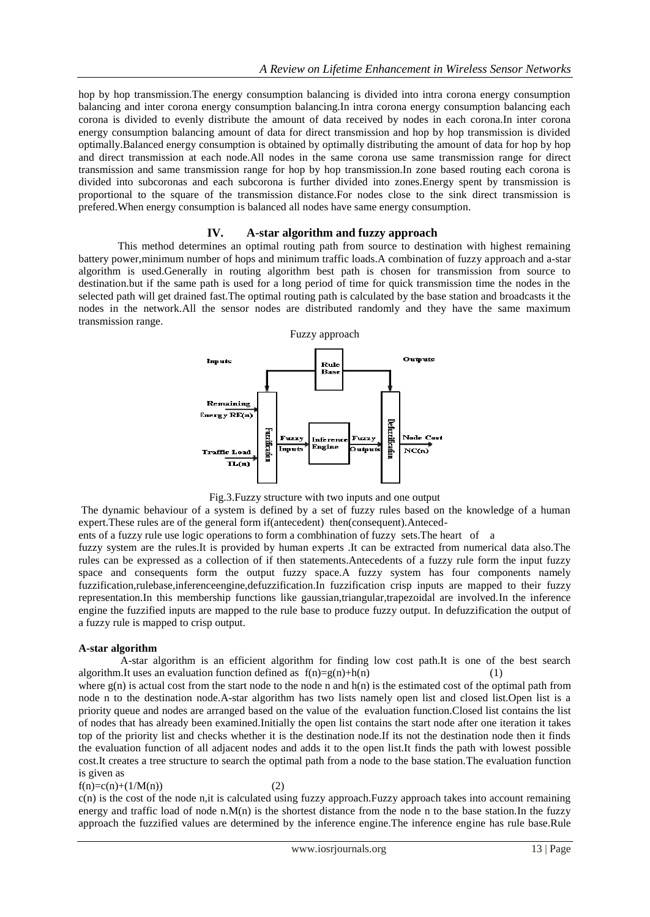hop by hop transmission.The energy consumption balancing is divided into intra corona energy consumption balancing and inter corona energy consumption balancing.In intra corona energy consumption balancing each corona is divided to evenly distribute the amount of data received by nodes in each corona.In inter corona energy consumption balancing amount of data for direct transmission and hop by hop transmission is divided optimally.Balanced energy consumption is obtained by optimally distributing the amount of data for hop by hop and direct transmission at each node.All nodes in the same corona use same transmission range for direct transmission and same transmission range for hop by hop transmission.In zone based routing each corona is divided into subcoronas and each subcorona is further divided into zones.Energy spent by transmission is proportional to the square of the transmission distance.For nodes close to the sink direct transmission is prefered.When energy consumption is balanced all nodes have same energy consumption.

# **IV. A-star algorithm and fuzzy approach**

This method determines an optimal routing path from source to destination with highest remaining battery power,minimum number of hops and minimum traffic loads.A combination of fuzzy approach and a-star algorithm is used.Generally in routing algorithm best path is chosen for transmission from source to destination.but if the same path is used for a long period of time for quick transmission time the nodes in the selected path will get drained fast.The optimal routing path is calculated by the base station and broadcasts it the nodes in the network.All the sensor nodes are distributed randomly and they have the same maximum transmission range.



Fig.3.Fuzzy structure with two inputs and one output

The dynamic behaviour of a system is defined by a set of fuzzy rules based on the knowledge of a human expert.These rules are of the general form if(antecedent) then(consequent).Anteced-

ents of a fuzzy rule use logic operations to form a combhination of fuzzy sets.The heart of a

fuzzy system are the rules.It is provided by human experts .It can be extracted from numerical data also.The rules can be expressed as a collection of if then statements.Antecedents of a fuzzy rule form the input fuzzy space and consequents form the output fuzzy space.A fuzzy system has four components namely fuzzification,rulebase,inferenceengine,defuzzification.In fuzzification crisp inputs are mapped to their fuzzy representation.In this membership functions like gaussian,triangular,trapezoidal are involved.In the inference engine the fuzzified inputs are mapped to the rule base to produce fuzzy output. In defuzzification the output of a fuzzy rule is mapped to crisp output.

#### **A-star algorithm**

A-star algorithm is an efficient algorithm for finding low cost path.It is one of the best search algorithm.It uses an evaluation function defined as  $f(n)=g(n)+h(n)$  (1)

where  $g(n)$  is actual cost from the start node to the node n and  $h(n)$  is the estimated cost of the optimal path from node n to the destination node.A-star algorithm has two lists namely open list and closed list.Open list is a priority queue and nodes are arranged based on the value of the evaluation function.Closed list contains the list of nodes that has already been examined.Initially the open list contains the start node after one iteration it takes top of the priority list and checks whether it is the destination node.If its not the destination node then it finds the evaluation function of all adjacent nodes and adds it to the open list.It finds the path with lowest possible cost.It creates a tree structure to search the optimal path from a node to the base station.The evaluation function is given as

 $f(n)=c(n)+(1/M(n))$  (2)

c(n) is the cost of the node n,it is calculated using fuzzy approach.Fuzzy approach takes into account remaining energy and traffic load of node n.M(n) is the shortest distance from the node n to the base station. In the fuzzy approach the fuzzified values are determined by the inference engine.The inference engine has rule base.Rule